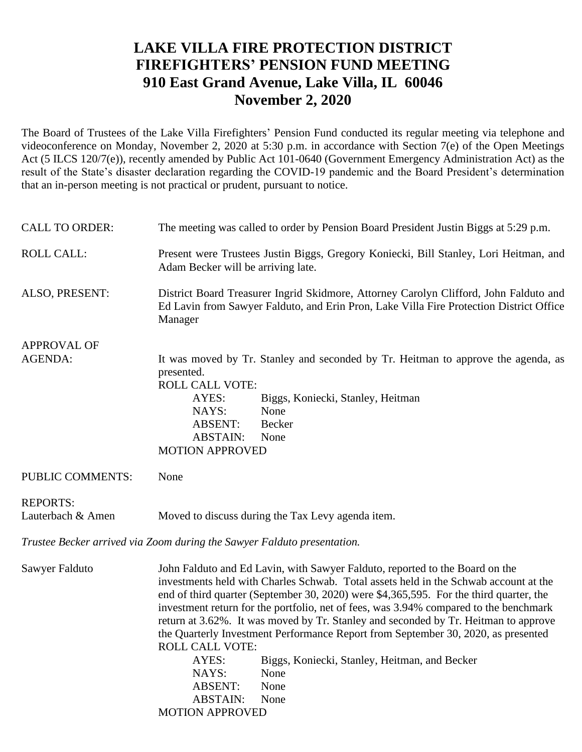## **LAKE VILLA FIRE PROTECTION DISTRICT FIREFIGHTERS' PENSION FUND MEETING 910 East Grand Avenue, Lake Villa, IL 60046 November 2, 2020**

The Board of Trustees of the Lake Villa Firefighters' Pension Fund conducted its regular meeting via telephone and videoconference on Monday, November 2, 2020 at 5:30 p.m. in accordance with Section 7(e) of the Open Meetings Act (5 ILCS 120/7(e)), recently amended by Public Act 101-0640 (Government Emergency Administration Act) as the result of the State's disaster declaration regarding the COVID-19 pandemic and the Board President's determination that an in-person meeting is not practical or prudent, pursuant to notice.

| <b>CALL TO ORDER:</b>                                                   | The meeting was called to order by Pension Board President Justin Biggs at 5:29 p.m.                                                                                                                                                                                                                                                                                                                                                                                                                                                                                                                                                                                                                                    |  |  |
|-------------------------------------------------------------------------|-------------------------------------------------------------------------------------------------------------------------------------------------------------------------------------------------------------------------------------------------------------------------------------------------------------------------------------------------------------------------------------------------------------------------------------------------------------------------------------------------------------------------------------------------------------------------------------------------------------------------------------------------------------------------------------------------------------------------|--|--|
| <b>ROLL CALL:</b>                                                       | Present were Trustees Justin Biggs, Gregory Koniecki, Bill Stanley, Lori Heitman, and<br>Adam Becker will be arriving late.                                                                                                                                                                                                                                                                                                                                                                                                                                                                                                                                                                                             |  |  |
| ALSO, PRESENT:                                                          | District Board Treasurer Ingrid Skidmore, Attorney Carolyn Clifford, John Falduto and<br>Ed Lavin from Sawyer Falduto, and Erin Pron, Lake Villa Fire Protection District Office<br>Manager                                                                                                                                                                                                                                                                                                                                                                                                                                                                                                                             |  |  |
| <b>APPROVAL OF</b>                                                      |                                                                                                                                                                                                                                                                                                                                                                                                                                                                                                                                                                                                                                                                                                                         |  |  |
| AGENDA:                                                                 | It was moved by Tr. Stanley and seconded by Tr. Heitman to approve the agenda, as<br>presented.<br><b>ROLL CALL VOTE:</b><br>AYES:<br>Biggs, Koniecki, Stanley, Heitman<br>NAYS:<br>None<br><b>ABSENT:</b><br>Becker<br><b>ABSTAIN:</b><br>None<br><b>MOTION APPROVED</b>                                                                                                                                                                                                                                                                                                                                                                                                                                               |  |  |
| PUBLIC COMMENTS:                                                        | None                                                                                                                                                                                                                                                                                                                                                                                                                                                                                                                                                                                                                                                                                                                    |  |  |
| <b>REPORTS:</b><br>Lauterbach & Amen                                    | Moved to discuss during the Tax Levy agenda item.                                                                                                                                                                                                                                                                                                                                                                                                                                                                                                                                                                                                                                                                       |  |  |
| Trustee Becker arrived via Zoom during the Sawyer Falduto presentation. |                                                                                                                                                                                                                                                                                                                                                                                                                                                                                                                                                                                                                                                                                                                         |  |  |
| Sawyer Falduto                                                          | John Falduto and Ed Lavin, with Sawyer Falduto, reported to the Board on the<br>investments held with Charles Schwab. Total assets held in the Schwab account at the<br>end of third quarter (September 30, 2020) were \$4,365,595. For the third quarter, the<br>investment return for the portfolio, net of fees, was 3.94% compared to the benchmark<br>return at 3.62%. It was moved by Tr. Stanley and seconded by Tr. Heitman to approve<br>the Quarterly Investment Performance Report from September 30, 2020, as presented<br><b>ROLL CALL VOTE:</b><br>AYES:<br>Biggs, Koniecki, Stanley, Heitman, and Becker<br>NAYS:<br>None<br><b>ABSENT:</b><br>None<br><b>ABSTAIN:</b><br>None<br><b>MOTION APPROVED</b> |  |  |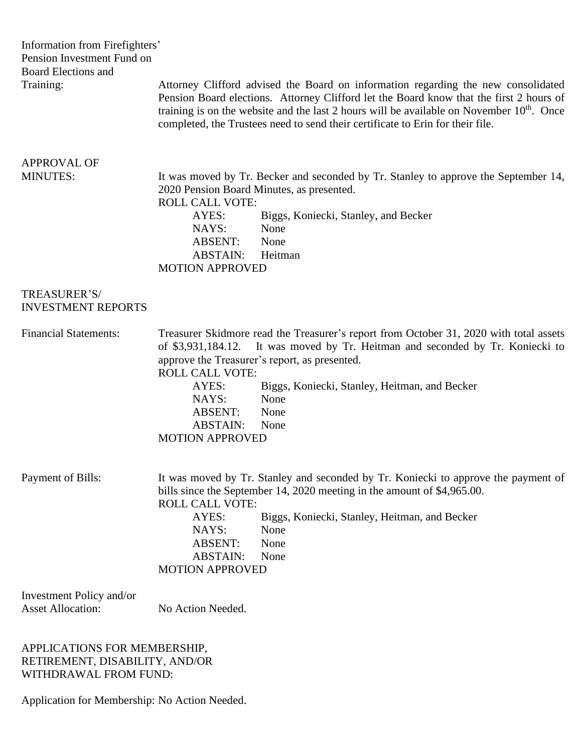| Information from Firefighters'<br>Pension Investment Fund on<br><b>Board Elections and</b><br>Training: | Attorney Clifford advised the Board on information regarding the new consolidated<br>Pension Board elections. Attorney Clifford let the Board know that the first 2 hours of<br>training is on the website and the last 2 hours will be available on November 10 <sup>th</sup> . Once<br>completed, the Trustees need to send their certificate to Erin for their file.                                          |  |
|---------------------------------------------------------------------------------------------------------|------------------------------------------------------------------------------------------------------------------------------------------------------------------------------------------------------------------------------------------------------------------------------------------------------------------------------------------------------------------------------------------------------------------|--|
| <b>APPROVAL OF</b>                                                                                      |                                                                                                                                                                                                                                                                                                                                                                                                                  |  |
| <b>MINUTES:</b>                                                                                         | It was moved by Tr. Becker and seconded by Tr. Stanley to approve the September 14,<br>2020 Pension Board Minutes, as presented.<br><b>ROLL CALL VOTE:</b><br>AYES:<br>Biggs, Koniecki, Stanley, and Becker<br>NAYS:<br>None<br>ABSENT:<br>None<br><b>ABSTAIN:</b><br>Heitman<br><b>MOTION APPROVED</b>                                                                                                          |  |
| TREASURER'S/<br><b>INVESTMENT REPORTS</b>                                                               |                                                                                                                                                                                                                                                                                                                                                                                                                  |  |
| <b>Financial Statements:</b>                                                                            | Treasurer Skidmore read the Treasurer's report from October 31, 2020 with total assets<br>It was moved by Tr. Heitman and seconded by Tr. Koniecki to<br>of \$3,931,184.12.<br>approve the Treasurer's report, as presented.<br><b>ROLL CALL VOTE:</b><br>AYES:<br>Biggs, Koniecki, Stanley, Heitman, and Becker<br>NAYS:<br>None<br>None<br><b>ABSENT:</b><br><b>ABSTAIN:</b><br>None<br><b>MOTION APPROVED</b> |  |
| Payment of Bills:                                                                                       | It was moved by Tr. Stanley and seconded by Tr. Koniecki to approve the payment of<br>bills since the September 14, 2020 meeting in the amount of \$4,965.00.<br><b>ROLL CALL VOTE:</b><br>AYES:<br>Biggs, Koniecki, Stanley, Heitman, and Becker<br>NAYS:<br>None<br>None<br><b>ABSENT:</b><br><b>ABSTAIN:</b><br>None<br><b>MOTION APPROVED</b>                                                                |  |
| Investment Policy and/or<br><b>Asset Allocation:</b>                                                    | No Action Needed.                                                                                                                                                                                                                                                                                                                                                                                                |  |
| APPLICATIONS FOR MEMBERSHIP,                                                                            |                                                                                                                                                                                                                                                                                                                                                                                                                  |  |

RETIREMENT, DISABILITY, AND/OR WITHDRAWAL FROM FUND:

Application for Membership: No Action Needed.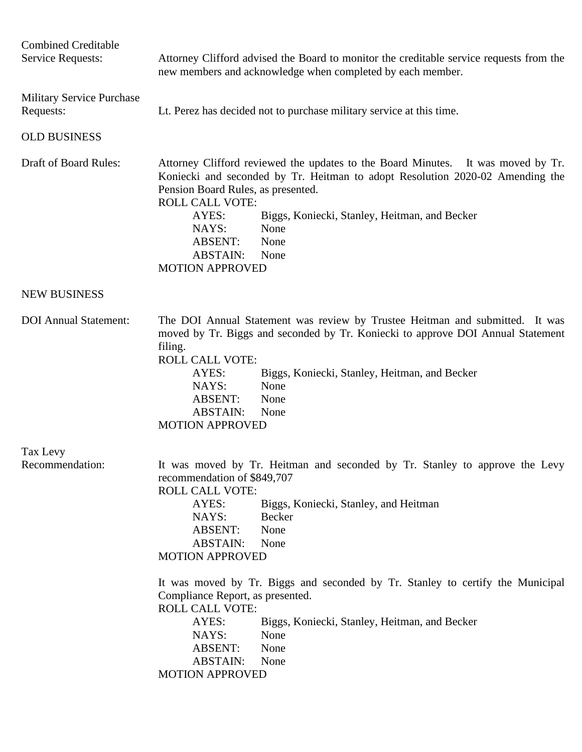| <b>Combined Creditable</b><br><b>Service Requests:</b> | Attorney Clifford advised the Board to monitor the creditable service requests from the<br>new members and acknowledge when completed by each member.                                                                                                                                                                                                                                                                                                                                                                                                                                       |
|--------------------------------------------------------|---------------------------------------------------------------------------------------------------------------------------------------------------------------------------------------------------------------------------------------------------------------------------------------------------------------------------------------------------------------------------------------------------------------------------------------------------------------------------------------------------------------------------------------------------------------------------------------------|
| Military Service Purchase<br>Requests:                 | Lt. Perez has decided not to purchase military service at this time.                                                                                                                                                                                                                                                                                                                                                                                                                                                                                                                        |
| <b>OLD BUSINESS</b>                                    |                                                                                                                                                                                                                                                                                                                                                                                                                                                                                                                                                                                             |
| <b>Draft of Board Rules:</b>                           | Attorney Clifford reviewed the updates to the Board Minutes. It was moved by Tr.<br>Koniecki and seconded by Tr. Heitman to adopt Resolution 2020-02 Amending the<br>Pension Board Rules, as presented.<br><b>ROLL CALL VOTE:</b><br>AYES:<br>Biggs, Koniecki, Stanley, Heitman, and Becker<br>NAYS:<br>None<br><b>ABSENT:</b><br>None<br><b>ABSTAIN:</b><br>None<br><b>MOTION APPROVED</b>                                                                                                                                                                                                 |
| <b>NEW BUSINESS</b>                                    |                                                                                                                                                                                                                                                                                                                                                                                                                                                                                                                                                                                             |
| <b>DOI</b> Annual Statement:                           | The DOI Annual Statement was review by Trustee Heitman and submitted. It was<br>moved by Tr. Biggs and seconded by Tr. Koniecki to approve DOI Annual Statement<br>filing.<br><b>ROLL CALL VOTE:</b><br>AYES:<br>Biggs, Koniecki, Stanley, Heitman, and Becker<br>NAYS:<br>None<br><b>ABSENT:</b><br>None<br><b>ABSTAIN:</b><br>None<br><b>MOTION APPROVED</b>                                                                                                                                                                                                                              |
| Tax Levy<br>Recommendation:                            | It was moved by Tr. Heitman and seconded by Tr. Stanley to approve the Levy<br>recommendation of \$849,707<br><b>ROLL CALL VOTE:</b><br>AYES:<br>Biggs, Koniecki, Stanley, and Heitman<br>Becker<br>NAYS:<br><b>ABSENT:</b><br>None<br><b>ABSTAIN:</b><br>None<br><b>MOTION APPROVED</b><br>It was moved by Tr. Biggs and seconded by Tr. Stanley to certify the Municipal<br>Compliance Report, as presented.<br>ROLL CALL VOTE:<br>Biggs, Koniecki, Stanley, Heitman, and Becker<br>AYES:<br>NAYS:<br>None<br><b>ABSENT:</b><br>None<br><b>ABSTAIN:</b><br>None<br><b>MOTION APPROVED</b> |